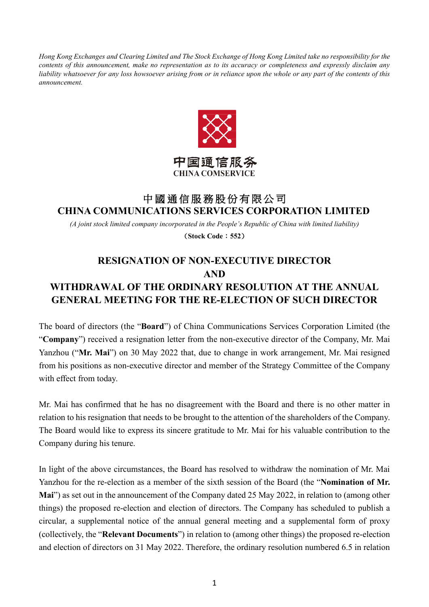*Hong Kong Exchanges and Clearing Limited and The Stock Exchange of Hong Kong Limited take no responsibility for the contents of this announcement, make no representation as to its accuracy or completeness and expressly disclaim any liability whatsoever for any loss howsoever arising from or in reliance upon the whole or any part of the contents of this announcement.*



## 中國通信服務股份有限公司 **CHINA COMMUNICATIONS SERVICES CORPORATION LIMITED**

*(A joint stock limited company incorporated in the People's Republic of China with limited liability)*

(**Stock Code**:**552**)

## **RESIGNATION OF NON-EXECUTIVE DIRECTOR AND WITHDRAWAL OF THE ORDINARY RESOLUTION AT THE ANNUAL GENERAL MEETING FOR THE RE-ELECTION OF SUCH DIRECTOR**

The board of directors (the "**Board**") of China Communications Services Corporation Limited (the "**Company**") received a resignation letter from the non-executive director of the Company, Mr. Mai Yanzhou ("**Mr. Mai**") on 30 May 2022 that, due to change in work arrangement, Mr. Mai resigned from his positions as non-executive director and member of the Strategy Committee of the Company with effect from today.

Mr. Mai has confirmed that he has no disagreement with the Board and there is no other matter in relation to his resignation that needs to be brought to the attention of the shareholders of the Company. The Board would like to express its sincere gratitude to Mr. Mai for his valuable contribution to the Company during his tenure.

In light of the above circumstances, the Board has resolved to withdraw the nomination of Mr. Mai Yanzhou for the re-election as a member of the sixth session of the Board (the "**Nomination of Mr. Mai**") as set out in the announcement of the Company dated 25 May 2022, in relation to (among other things) the proposed re-election and election of directors. The Company has scheduled to publish a circular, a supplemental notice of the annual general meeting and a supplemental form of proxy (collectively, the "**Relevant Documents**") in relation to (among other things) the proposed re-election and election of directors on 31 May 2022. Therefore, the ordinary resolution numbered 6.5 in relation